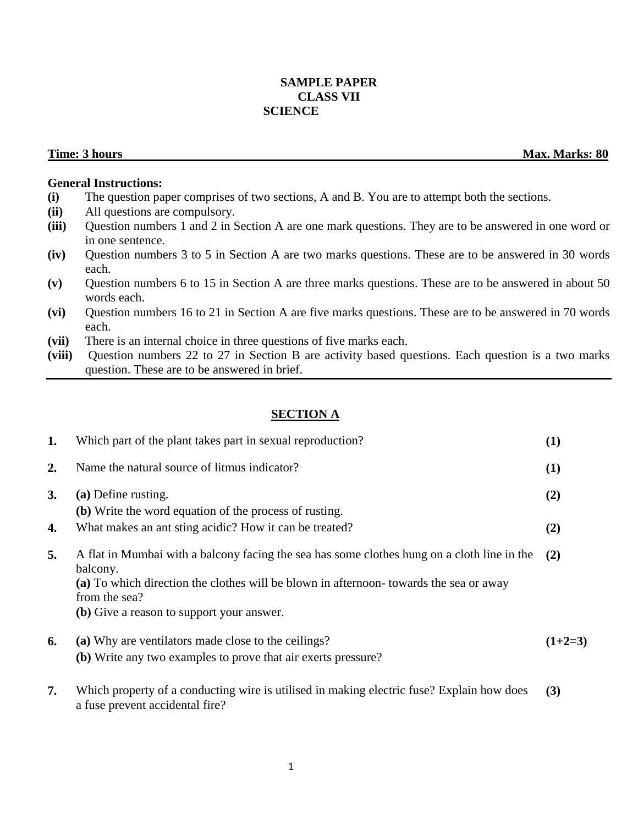# **SAMPLE PAPER CLASS VII SCIENCE**

**Time: 3 hours** Max. Marks: 80

### **General Instructions:**

- **(i)** The question paper comprises of two sections, A and B. You are to attempt both the sections.
- **(ii)** All questions are compulsory.
- **(iii)** Question numbers 1 and 2 in Section A are one mark questions. They are to be answered in one word or in one sentence.
- **(iv)** Question numbers 3 to 5 in Section A are two marks questions. These are to be answered in 30 words each.
- **(v)** Question numbers 6 to 15 in Section A are three marks questions. These are to be answered in about 50 words each.
- **(vi)** Question numbers 16 to 21 in Section A are five marks questions. These are to be answered in 70 words each.
- **(vii)** There is an internal choice in three questions of five marks each.
- **(viii)** Question numbers 22 to 27 in Section B are activity based questions. Each question is a two marks question. These are to be answered in brief.

# **SECTION A**

| 1.        | Which part of the plant takes part in sexual reproduction?                                                                   | (1)       |
|-----------|------------------------------------------------------------------------------------------------------------------------------|-----------|
| 2.        | Name the natural source of litmus indicator?                                                                                 | (1)       |
| <b>3.</b> | (a) Define rusting.                                                                                                          | (2)       |
|           | (b) Write the word equation of the process of rusting.                                                                       |           |
| 4.        | What makes an ant sting acidic? How it can be treated?                                                                       | (2)       |
| 5.        | A flat in Mumbai with a balcony facing the sea has some clothes hung on a cloth line in the<br>balcony.                      | (2)       |
|           | (a) To which direction the clothes will be blown in afternoon-towards the sea or away<br>from the sea?                       |           |
|           | (b) Give a reason to support your answer.                                                                                    |           |
| 6.        | (a) Why are ventilators made close to the ceilings?                                                                          | $(1+2=3)$ |
|           | (b) Write any two examples to prove that air exerts pressure?                                                                |           |
| 7.        | Which property of a conducting wire is utilised in making electric fuse? Explain how does<br>a fuse prevent accidental fire? | (3)       |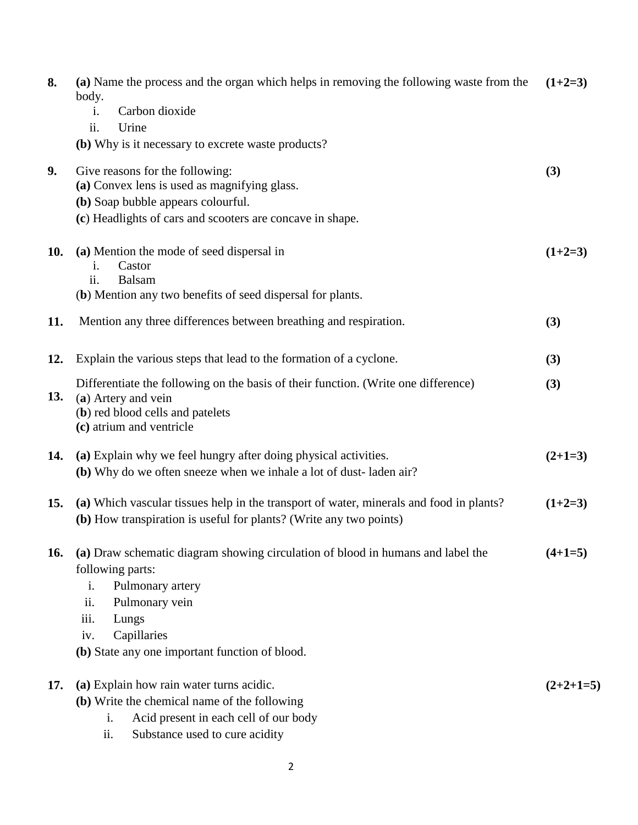| 8.  | (a) Name the process and the organ which helps in removing the following waste from the<br>body.                                                              | $(1+2=3)$   |
|-----|---------------------------------------------------------------------------------------------------------------------------------------------------------------|-------------|
|     | Carbon dioxide<br>$\mathbf{i}$ .<br>ii.<br>Urine                                                                                                              |             |
|     | (b) Why is it necessary to excrete waste products?                                                                                                            |             |
| 9.  | Give reasons for the following:                                                                                                                               | (3)         |
|     | (a) Convex lens is used as magnifying glass.                                                                                                                  |             |
|     | (b) Soap bubble appears colourful.                                                                                                                            |             |
|     | (c) Headlights of cars and scooters are concave in shape.                                                                                                     |             |
| 10. | (a) Mention the mode of seed dispersal in<br>Castor<br>1.                                                                                                     | $(1+2=3)$   |
|     | ii.<br>Balsam<br>(b) Mention any two benefits of seed dispersal for plants.                                                                                   |             |
|     |                                                                                                                                                               |             |
| 11. | Mention any three differences between breathing and respiration.                                                                                              | (3)         |
|     |                                                                                                                                                               |             |
| 12. | Explain the various steps that lead to the formation of a cyclone.                                                                                            | (3)         |
| 13. | Differentiate the following on the basis of their function. (Write one difference)                                                                            | (3)         |
|     | (a) Artery and vein<br>(b) red blood cells and patelets                                                                                                       |             |
|     | (c) atrium and ventricle                                                                                                                                      |             |
| 14. | (a) Explain why we feel hungry after doing physical activities.                                                                                               | $(2+1=3)$   |
|     | (b) Why do we often sneeze when we inhale a lot of dust-laden air?                                                                                            |             |
|     |                                                                                                                                                               |             |
| 15. | (a) Which vascular tissues help in the transport of water, minerals and food in plants?<br>(b) How transpiration is useful for plants? (Write any two points) | $(1+2=3)$   |
| 16. | (a) Draw schematic diagram showing circulation of blood in humans and label the                                                                               | $(4+1=5)$   |
|     | following parts:                                                                                                                                              |             |
|     | Pulmonary artery<br>i.                                                                                                                                        |             |
|     | ii.<br>Pulmonary vein                                                                                                                                         |             |
|     | iii.<br>Lungs                                                                                                                                                 |             |
|     | Capillaries<br>iv.                                                                                                                                            |             |
|     | (b) State any one important function of blood.                                                                                                                |             |
| 17. | (a) Explain how rain water turns acidic.                                                                                                                      | $(2+2+1=5)$ |
|     | (b) Write the chemical name of the following                                                                                                                  |             |
|     | Acid present in each cell of our body<br>i.                                                                                                                   |             |
|     | Substance used to cure acidity<br>ii.                                                                                                                         |             |
|     |                                                                                                                                                               |             |

2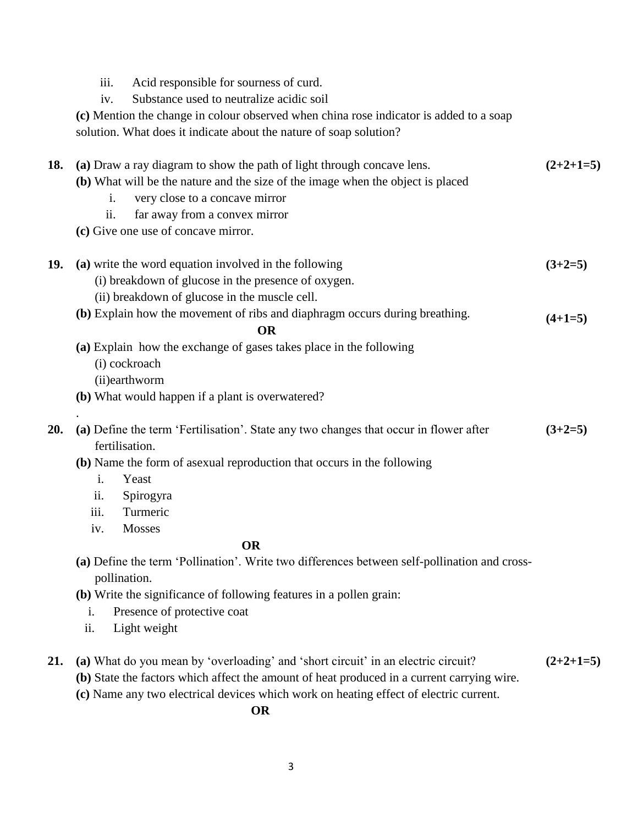- iii. Acid responsible for sourness of curd.
- iv. Substance used to neutralize acidic soil
- **(c)** Mention the change in colour observed when china rose indicator is added to a soap solution. What does it indicate about the nature of soap solution?

| 18. |                                                                                                              | (a) Draw a ray diagram to show the path of light through concave lens.                     | $(2+2+1=5)$ |  |  |
|-----|--------------------------------------------------------------------------------------------------------------|--------------------------------------------------------------------------------------------|-------------|--|--|
|     |                                                                                                              | (b) What will be the nature and the size of the image when the object is placed            |             |  |  |
|     | i.                                                                                                           | very close to a concave mirror                                                             |             |  |  |
|     | ii.                                                                                                          | far away from a convex mirror                                                              |             |  |  |
|     |                                                                                                              | (c) Give one use of concave mirror.                                                        |             |  |  |
| 19. |                                                                                                              | (a) write the word equation involved in the following                                      | $(3+2=5)$   |  |  |
|     |                                                                                                              | (i) breakdown of glucose in the presence of oxygen.                                        |             |  |  |
|     |                                                                                                              | (ii) breakdown of glucose in the muscle cell.                                              |             |  |  |
|     |                                                                                                              | (b) Explain how the movement of ribs and diaphragm occurs during breathing.<br><b>OR</b>   | $(4+1=5)$   |  |  |
|     |                                                                                                              | (a) Explain how the exchange of gases takes place in the following                         |             |  |  |
|     | (i) cockroach                                                                                                |                                                                                            |             |  |  |
|     | (ii)earthworm                                                                                                |                                                                                            |             |  |  |
|     |                                                                                                              | (b) What would happen if a plant is overwatered?                                           |             |  |  |
| 20. |                                                                                                              | (a) Define the term 'Fertilisation'. State any two changes that occur in flower after      | $(3+2=5)$   |  |  |
|     | fertilisation.                                                                                               |                                                                                            |             |  |  |
|     |                                                                                                              | (b) Name the form of asexual reproduction that occurs in the following                     |             |  |  |
|     | $\mathbf{i}$ .                                                                                               | Yeast                                                                                      |             |  |  |
|     | ii.                                                                                                          | Spirogyra                                                                                  |             |  |  |
|     | iii.                                                                                                         | Turmeric                                                                                   |             |  |  |
|     | iv.                                                                                                          | Mosses                                                                                     |             |  |  |
|     |                                                                                                              | <b>OR</b>                                                                                  |             |  |  |
|     | (a) Define the term 'Pollination'. Write two differences between self-pollination and cross-<br>pollination. |                                                                                            |             |  |  |
|     | (b) Write the significance of following features in a pollen grain:                                          |                                                                                            |             |  |  |
|     | i.                                                                                                           | Presence of protective coat                                                                |             |  |  |
|     | ii.                                                                                                          | Light weight                                                                               |             |  |  |
| 21. |                                                                                                              | (a) What do you mean by 'overloading' and 'short circuit' in an electric circuit?          | $(2+2+1=5)$ |  |  |
|     |                                                                                                              | (b) State the factors which affect the amount of heat produced in a current carrying wire. |             |  |  |

**(c)** Name any two electrical devices which work on heating effect of electric current.

 **OR**